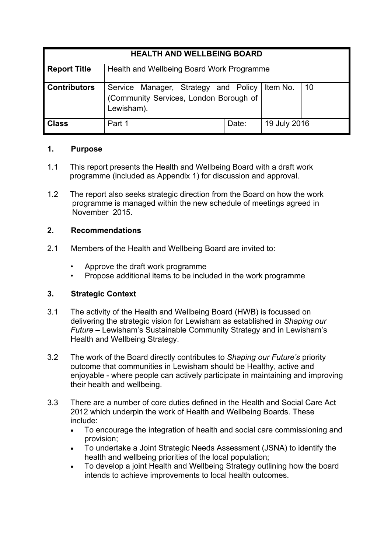| <b>HEALTH AND WELLBEING BOARD</b> |                                                                                              |       |              |     |
|-----------------------------------|----------------------------------------------------------------------------------------------|-------|--------------|-----|
| <b>Report Title</b>               | Health and Wellbeing Board Work Programme                                                    |       |              |     |
| <b>Contributors</b>               | Service Manager, Strategy and Policy<br>(Community Services, London Borough of<br>Lewisham). |       | Item No.     | -10 |
| <b>Class</b>                      | Part 1                                                                                       | Date: | 19 July 2016 |     |

### **1. Purpose**

- 1.1 This report presents the Health and Wellbeing Board with a draft work programme (included as Appendix 1) for discussion and approval.
- 1.2 The report also seeks strategic direction from the Board on how the work programme is managed within the new schedule of meetings agreed in November 2015.

# **2. Recommendations**

- 2.1 Members of the Health and Wellbeing Board are invited to:
	- Approve the draft work programme
	- Propose additional items to be included in the work programme

# **3. Strategic Context**

- 3.1 The activity of the Health and Wellbeing Board (HWB) is focussed on delivering the strategic vision for Lewisham as established in *Shaping our Future* – Lewisham's Sustainable Community Strategy and in Lewisham's Health and Wellbeing Strategy.
- 3.2 The work of the Board directly contributes to *Shaping our Future's* priority outcome that communities in Lewisham should be Healthy, active and enjoyable - where people can actively participate in maintaining and improving their health and wellbeing.
- 3.3 There are a number of core duties defined in the Health and Social Care Act 2012 which underpin the work of Health and Wellbeing Boards. These include:
	- To encourage the integration of health and social care commissioning and provision;
	- To undertake a Joint Strategic Needs Assessment (JSNA) to identify the health and wellbeing priorities of the local population;
	- To develop a joint Health and Wellbeing Strategy outlining how the board intends to achieve improvements to local health outcomes.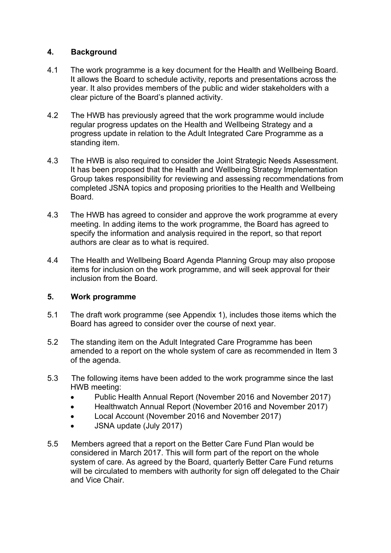## **4. Background**

- 4.1 The work programme is a key document for the Health and Wellbeing Board. It allows the Board to schedule activity, reports and presentations across the year. It also provides members of the public and wider stakeholders with a clear picture of the Board's planned activity.
- 4.2 The HWB has previously agreed that the work programme would include regular progress updates on the Health and Wellbeing Strategy and a progress update in relation to the Adult Integrated Care Programme as a standing item.
- 4.3 The HWB is also required to consider the Joint Strategic Needs Assessment. It has been proposed that the Health and Wellbeing Strategy Implementation Group takes responsibility for reviewing and assessing recommendations from completed JSNA topics and proposing priorities to the Health and Wellbeing Board.
- 4.3 The HWB has agreed to consider and approve the work programme at every meeting. In adding items to the work programme, the Board has agreed to specify the information and analysis required in the report, so that report authors are clear as to what is required.
- 4.4 The Health and Wellbeing Board Agenda Planning Group may also propose items for inclusion on the work programme, and will seek approval for their inclusion from the Board.

# **5. Work programme**

- 5.1 The draft work programme (see Appendix 1), includes those items which the Board has agreed to consider over the course of next year.
- 5.2 The standing item on the Adult Integrated Care Programme has been amended to a report on the whole system of care as recommended in Item 3 of the agenda.
- 5.3 The following items have been added to the work programme since the last HWB meeting:
	- Public Health Annual Report (November 2016 and November 2017)
	- Healthwatch Annual Report (November 2016 and November 2017)
	- Local Account (November 2016 and November 2017)
	- JSNA update (July 2017)
- 5.5 Members agreed that a report on the Better Care Fund Plan would be considered in March 2017. This will form part of the report on the whole system of care. As agreed by the Board, quarterly Better Care Fund returns will be circulated to members with authority for sign off delegated to the Chair and Vice Chair.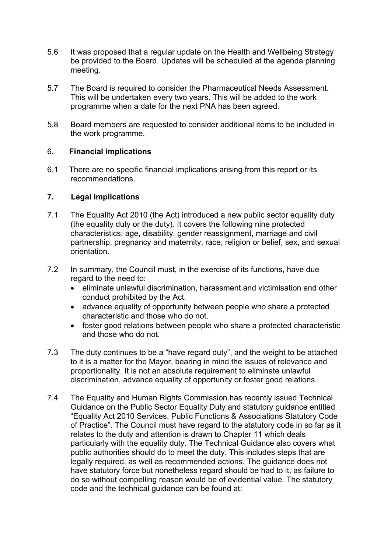- 5.6 It was proposed that a regular update on the Health and Wellbeing Strategy be provided to the Board. Updates will be scheduled at the agenda planning meeting.
- 5.7 The Board is required to consider the Pharmaceutical Needs Assessment. This will be undertaken every two years. This will be added to the work programme when a date for the next PNA has been agreed.
- 5.8 Board members are requested to consider additional items to be included in the work programme.

### 6**. Financial implications**

6.1 There are no specific financial implications arising from this report or its recommendations.

### **7. Legal implications**

- 7.1 The Equality Act 2010 (the Act) introduced a new public sector equality duty (the equality duty or the duty). It covers the following nine protected characteristics: age, disability, gender reassignment, marriage and civil partnership, pregnancy and maternity, race, religion or belief, sex, and sexual orientation.
- 7.2 In summary, the Council must, in the exercise of its functions, have due regard to the need to:
	- eliminate unlawful discrimination, harassment and victimisation and other conduct prohibited by the Act.
	- advance equality of opportunity between people who share a protected characteristic and those who do not.
	- foster good relations between people who share a protected characteristic and those who do not.
- 7.3 The duty continues to be a "have regard duty", and the weight to be attached to it is a matter for the Mayor, bearing in mind the issues of relevance and proportionality. It is not an absolute requirement to eliminate unlawful discrimination, advance equality of opportunity or foster good relations.
- 7.4 The Equality and Human Rights Commission has recently issued Technical Guidance on the Public Sector Equality Duty and statutory guidance entitled "Equality Act 2010 Services, Public Functions & Associations Statutory Code of Practice". The Council must have regard to the statutory code in so far as it relates to the duty and attention is drawn to Chapter 11 which deals particularly with the equality duty. The Technical Guidance also covers what public authorities should do to meet the duty. This includes steps that are legally required, as well as recommended actions. The guidance does not have statutory force but nonetheless regard should be had to it, as failure to do so without compelling reason would be of evidential value. The statutory code and the technical guidance can be found at: